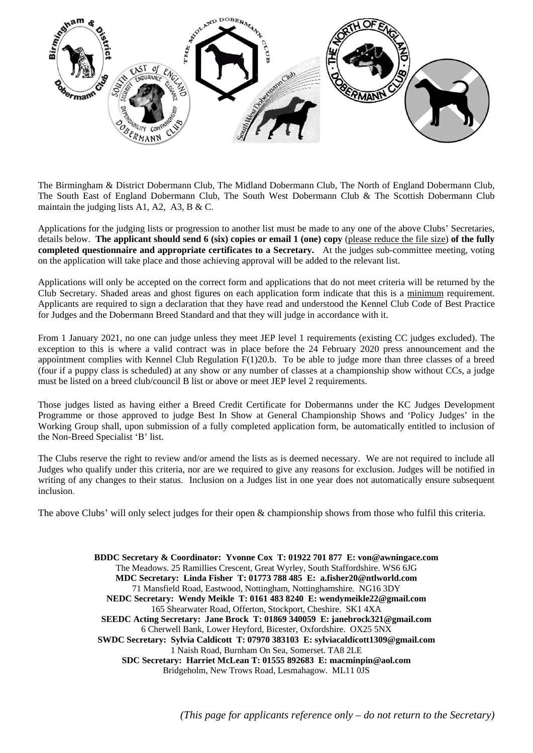

The Birmingham & District Dobermann Club, The Midland Dobermann Club, The North of England Dobermann Club, The South East of England Dobermann Club, The South West Dobermann Club & The Scottish Dobermann Club maintain the judging lists A1, A2, A3, B & C.

Applications for the judging lists or progression to another list must be made to any one of the above Clubs' Secretaries, details below. **The applicant should send 6 (six) copies or email 1 (one) copy** (please reduce the file size) **of the fully completed questionnaire and appropriate certificates to a Secretary.** At the judges sub-committee meeting, voting on the application will take place and those achieving approval will be added to the relevant list.

Applications will only be accepted on the correct form and applications that do not meet criteria will be returned by the Club Secretary. Shaded areas and ghost figures on each application form indicate that this is a minimum requirement. Applicants are required to sign a declaration that they have read and understood the Kennel Club Code of Best Practice for Judges and the Dobermann Breed Standard and that they will judge in accordance with it.

From 1 January 2021, no one can judge unless they meet JEP level 1 requirements (existing CC judges excluded). The exception to this is where a valid contract was in place before the 24 February 2020 press announcement and the appointment complies with Kennel Club Regulation F(1)20.b. To be able to judge more than three classes of a breed (four if a puppy class is scheduled) at any show or any number of classes at a championship show without CCs, a judge must be listed on a breed club/council B list or above or meet JEP level 2 requirements.

Those judges listed as having either a Breed Credit Certificate for Dobermanns under the KC Judges Development Programme or those approved to judge Best In Show at General Championship Shows and 'Policy Judges' in the Working Group shall, upon submission of a fully completed application form, be automatically entitled to inclusion of the Non-Breed Specialist 'B' list.

The Clubs reserve the right to review and/or amend the lists as is deemed necessary. We are not required to include all Judges who qualify under this criteria, nor are we required to give any reasons for exclusion. Judges will be notified in writing of any changes to their status. Inclusion on a Judges list in one year does not automatically ensure subsequent inclusion.

The above Clubs' will only select judges for their open & championship shows from those who fulfil this criteria.

**BDDC Secretary & Coordinator: Yvonne Cox T: 01922 701 877 E: von@awningace.com**  The Meadows. 25 Ramillies Crescent, Great Wyrley, South Staffordshire. WS6 6JG **MDC Secretary: Linda Fisher T: 01773 788 485 E: a.fisher20@ntlworld.com**  71 Mansfield Road, Eastwood, Nottingham, Nottinghamshire. NG16 3DY **NEDC Secretary: Wendy Meikle T: 0161 483 8240 E: wendymeikle22@gmail.com**  165 Shearwater Road, Offerton, Stockport, Cheshire. SK1 4XA **SEEDC Acting Secretary: Jane Brock T: 01869 340059 E: janebrock321@gmail.com**  6 Cherwell Bank, Lower Heyford, Bicester, Oxfordshire. OX25 5NX **SWDC Secretary: Sylvia Caldicott T: 07970 383103 E: sylviacaldicott1309@gmail.com**  1 Naish Road, Burnham On Sea, Somerset. TA8 2LE **SDC Secretary: Harriet McLean T: 01555 892683 E: macminpin@aol.com**  Bridgeholm, New Trows Road, Lesmahagow. ML11 0JS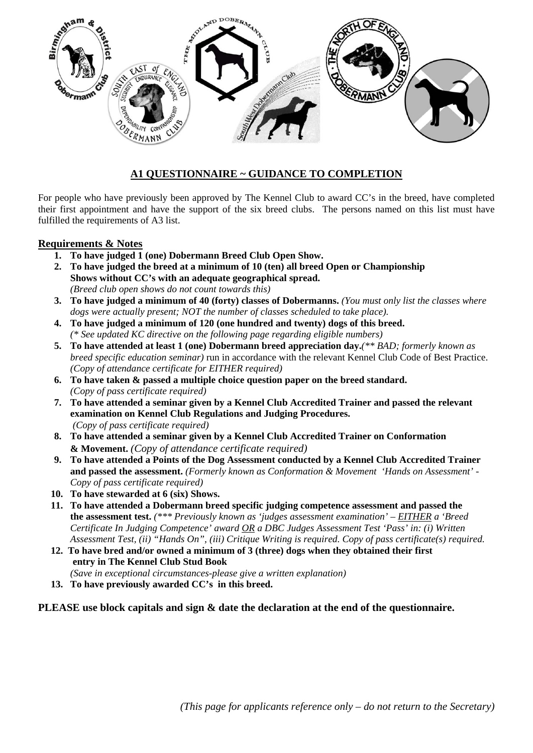

# **A1 QUESTIONNAIRE ~ GUIDANCE TO COMPLETION**

For people who have previously been approved by The Kennel Club to award CC's in the breed, have completed their first appointment and have the support of the six breed clubs. The persons named on this list must have fulfilled the requirements of A3 list.

# **Requirements & Notes**

- **1. To have judged 1 (one) Dobermann Breed Club Open Show.**
- **2. To have judged the breed at a minimum of 10 (ten) all breed Open or Championship Shows without CC's with an adequate geographical spread.**  *(Breed club open shows do not count towards this)*
- **3. To have judged a minimum of 40 (forty) classes of Dobermanns.** *(You must only list the classes where dogs were actually present; NOT the number of classes scheduled to take place).*
- **4. To have judged a minimum of 120 (one hundred and twenty) dogs of this breed.**  *(\* See updated KC directive on the following page regarding eligible numbers)*
- **5. To have attended at least 1 (one) Dobermann breed appreciation day.***(\*\* BAD; formerly known as breed specific education seminar)* run in accordance with the relevant Kennel Club Code of Best Practice. *(Copy of attendance certificate for EITHER required)*
- **6. To have taken & passed a multiple choice question paper on the breed standard.**  *(Copy of pass certificate required)*
- **7. To have attended a seminar given by a Kennel Club Accredited Trainer and passed the relevant examination on Kennel Club Regulations and Judging Procedures.**  *(Copy of pass certificate required)*
- **8. To have attended a seminar given by a Kennel Club Accredited Trainer on Conformation & Movement.** *(Copy of attendance certificate required)*
- **9. To have attended a Points of the Dog Assessment conducted by a Kennel Club Accredited Trainer and passed the assessment.** *(Formerly known as Conformation & Movement 'Hands on Assessment' - Copy of pass certificate required)*
- **10. To have stewarded at 6 (six) Shows.**
- **11. To have attended a Dobermann breed specific judging competence assessment and passed the the assessment test.** *(\*\*\* Previously known as 'judges assessment examination' – EITHER a 'Breed Certificate In Judging Competence' award OR a DBC Judges Assessment Test 'Pass' in: (i) Written Assessment Test, (ii) "Hands On", (iii) Critique Writing is required. Copy of pass certificate(s) required.*
- **12. To have bred and/or owned a minimum of 3 (three) dogs when they obtained their first entry in The Kennel Club Stud Book**

*(Save in exceptional circumstances-please give a written explanation)* 

**13. To have previously awarded CC's in this breed.** 

# **PLEASE use block capitals and sign & date the declaration at the end of the questionnaire.**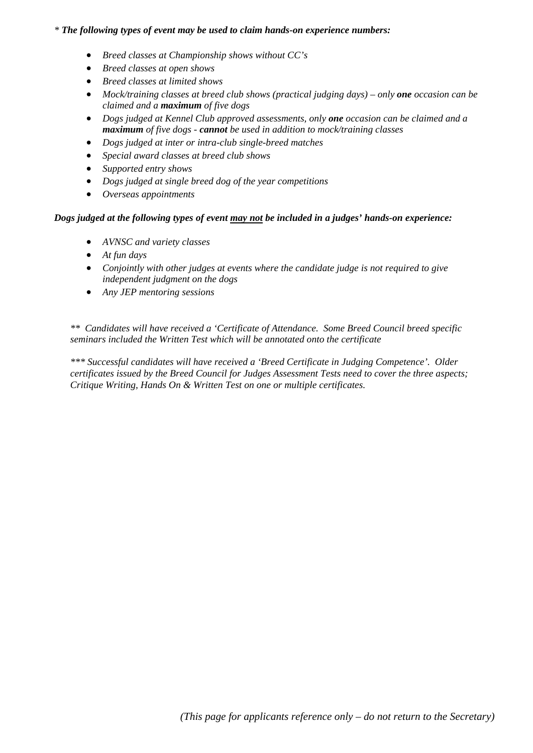# *\* The following types of event may be used to claim hands-on experience numbers:*

- *Breed classes at Championship shows without CC's*
- *Breed classes at open shows*
- *Breed classes at limited shows*
- Mock/training classes at breed club shows (practical judging days) only **one** occasion can be *claimed and a maximum of five dogs*
- *Dogs judged at Kennel Club approved assessments, only one occasion can be claimed and a maximum of five dogs - cannot be used in addition to mock/training classes*
- *Dogs judged at inter or intra-club single-breed matches*
- *Special award classes at breed club shows*
- *Supported entry shows*
- *Dogs judged at single breed dog of the year competitions*
- *Overseas appointments*

### *Dogs judged at the following types of event may not be included in a judges' hands-on experience:*

- *AVNSC and variety classes*
- *At fun days*
- *Conjointly with other judges at events where the candidate judge is not required to give independent judgment on the dogs*
- *Any JEP mentoring sessions*

*\*\* Candidates will have received a 'Certificate of Attendance. Some Breed Council breed specific seminars included the Written Test which will be annotated onto the certificate* 

*\*\*\* Successful candidates will have received a 'Breed Certificate in Judging Competence'. Older certificates issued by the Breed Council for Judges Assessment Tests need to cover the three aspects; Critique Writing, Hands On & Written Test on one or multiple certificates.*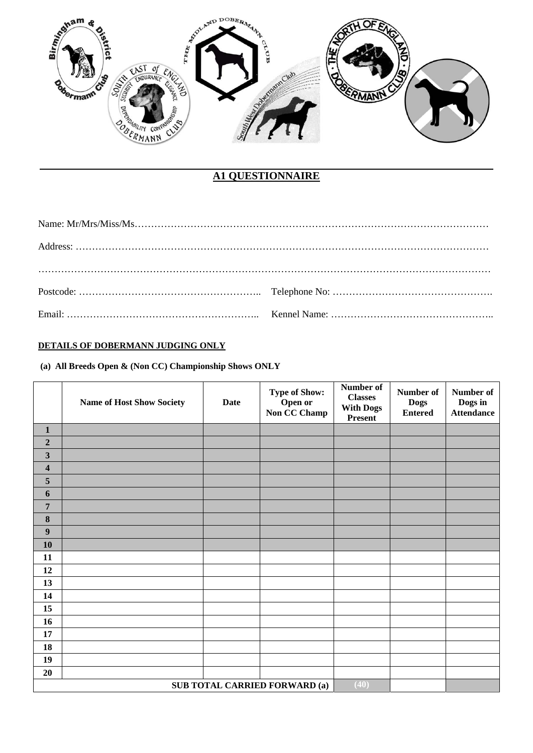

# **A1 QUESTIONNAIRE**

# **DETAILS OF DOBERMANN JUDGING ONLY**

 **(a) All Breeds Open & (Non CC) Championship Shows ONLY** 

|                         | <b>Name of Host Show Society</b> | <b>Date</b> | <b>Type of Show:</b><br>Open or<br>Non CC Champ | Number of<br><b>Classes</b><br><b>With Dogs</b><br>Present | Number of<br><b>Dogs</b><br><b>Entered</b> | Number of<br>Dogs in<br><b>Attendance</b> |
|-------------------------|----------------------------------|-------------|-------------------------------------------------|------------------------------------------------------------|--------------------------------------------|-------------------------------------------|
| $\mathbf{1}$            |                                  |             |                                                 |                                                            |                                            |                                           |
| $\overline{2}$          |                                  |             |                                                 |                                                            |                                            |                                           |
| $\mathbf{3}$            |                                  |             |                                                 |                                                            |                                            |                                           |
| $\overline{\mathbf{4}}$ |                                  |             |                                                 |                                                            |                                            |                                           |
| $\sqrt{5}$              |                                  |             |                                                 |                                                            |                                            |                                           |
| $\boldsymbol{6}$        |                                  |             |                                                 |                                                            |                                            |                                           |
| $\overline{7}$          |                                  |             |                                                 |                                                            |                                            |                                           |
| $\bf 8$                 |                                  |             |                                                 |                                                            |                                            |                                           |
| 9                       |                                  |             |                                                 |                                                            |                                            |                                           |
| 10                      |                                  |             |                                                 |                                                            |                                            |                                           |
| 11                      |                                  |             |                                                 |                                                            |                                            |                                           |
| 12                      |                                  |             |                                                 |                                                            |                                            |                                           |
| 13                      |                                  |             |                                                 |                                                            |                                            |                                           |
| 14                      |                                  |             |                                                 |                                                            |                                            |                                           |
| 15                      |                                  |             |                                                 |                                                            |                                            |                                           |
| 16                      |                                  |             |                                                 |                                                            |                                            |                                           |
| 17                      |                                  |             |                                                 |                                                            |                                            |                                           |
| 18                      |                                  |             |                                                 |                                                            |                                            |                                           |
| 19                      |                                  |             |                                                 |                                                            |                                            |                                           |
| 20                      |                                  |             |                                                 |                                                            |                                            |                                           |
|                         |                                  |             | <b>SUB TOTAL CARRIED FORWARD (a)</b>            | (40)                                                       |                                            |                                           |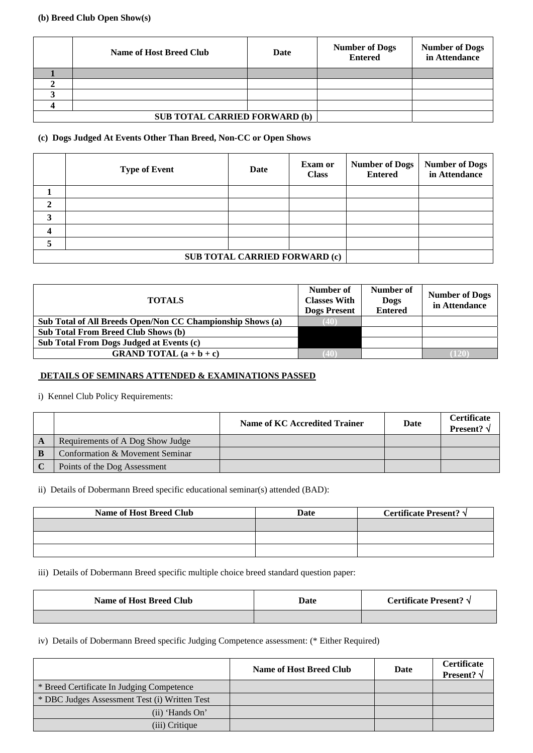#### **(b) Breed Club Open Show(s)**

| <b>Name of Host Breed Club</b>       | <b>Date</b> | <b>Number of Dogs</b><br><b>Entered</b> | <b>Number of Dogs</b><br>in Attendance |
|--------------------------------------|-------------|-----------------------------------------|----------------------------------------|
|                                      |             |                                         |                                        |
|                                      |             |                                         |                                        |
|                                      |             |                                         |                                        |
|                                      |             |                                         |                                        |
| <b>SUB TOTAL CARRIED FORWARD (b)</b> |             |                                         |                                        |

#### **(c) Dogs Judged At Events Other Than Breed, Non-CC or Open Shows**

|                                      | <b>Type of Event</b> | Date | <b>Exam or</b><br><b>Class</b> | <b>Number of Dogs</b><br><b>Entered</b> | <b>Number of Dogs</b><br>in Attendance |
|--------------------------------------|----------------------|------|--------------------------------|-----------------------------------------|----------------------------------------|
|                                      |                      |      |                                |                                         |                                        |
| 2                                    |                      |      |                                |                                         |                                        |
| 3                                    |                      |      |                                |                                         |                                        |
| 4                                    |                      |      |                                |                                         |                                        |
|                                      |                      |      |                                |                                         |                                        |
| <b>SUB TOTAL CARRIED FORWARD (c)</b> |                      |      |                                |                                         |                                        |

| <b>TOTALS</b>                                              | Number of<br><b>Classes With</b><br><b>Dogs Present</b> | Number of<br><b>Dogs</b><br><b>Entered</b> | <b>Number of Dogs</b><br>in Attendance |
|------------------------------------------------------------|---------------------------------------------------------|--------------------------------------------|----------------------------------------|
| Sub Total of All Breeds Open/Non CC Championship Shows (a) | (40)                                                    |                                            |                                        |
| <b>Sub Total From Breed Club Shows (b)</b>                 |                                                         |                                            |                                        |
| Sub Total From Dogs Judged at Events (c)                   |                                                         |                                            |                                        |
| <b>GRAND TOTAL</b> $(a + b + c)$                           |                                                         |                                            |                                        |

#### **DETAILS OF SEMINARS ATTENDED & EXAMINATIONS PASSED**

i) Kennel Club Policy Requirements:

|              |                                  | Name of KC Accredited Trainer | Date | <b>Certificate</b><br><b>Present?</b> $\sqrt{}$ |
|--------------|----------------------------------|-------------------------------|------|-------------------------------------------------|
| $\mathbf{A}$ | Requirements of A Dog Show Judge |                               |      |                                                 |
| $\mathbf{B}$ | Conformation & Movement Seminar  |                               |      |                                                 |
|              | Points of the Dog Assessment     |                               |      |                                                 |

ii) Details of Dobermann Breed specific educational seminar(s) attended (BAD):

| <b>Name of Host Breed Club</b> | Date | Certificate Present? $\sqrt{}$ |
|--------------------------------|------|--------------------------------|
|                                |      |                                |
|                                |      |                                |
|                                |      |                                |

iii) Details of Dobermann Breed specific multiple choice breed standard question paper:

| <b>Name of Host Breed Club</b> | Date | Certificate Present? √ |
|--------------------------------|------|------------------------|
|                                |      |                        |

iv) Details of Dobermann Breed specific Judging Competence assessment: (\* Either Required)

|                                               | <b>Name of Host Breed Club</b> | Date | <b>Certificate</b><br>Present? $\sqrt{}$ |
|-----------------------------------------------|--------------------------------|------|------------------------------------------|
| * Breed Certificate In Judging Competence     |                                |      |                                          |
| * DBC Judges Assessment Test (i) Written Test |                                |      |                                          |
| $(ii)$ 'Hands On'                             |                                |      |                                          |
| (iii) Critique                                |                                |      |                                          |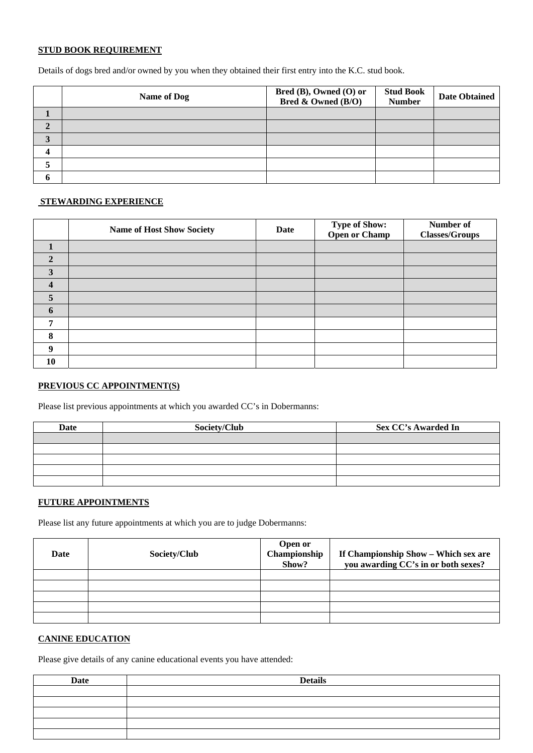#### **STUD BOOK REQUIREMENT**

Details of dogs bred and/or owned by you when they obtained their first entry into the K.C. stud book.

| <b>Name of Dog</b> | Bred (B), Owned (O) or<br>Bred & Owned (B/O) | <b>Stud Book</b><br><b>Number</b> | <b>Date Obtained</b> |
|--------------------|----------------------------------------------|-----------------------------------|----------------------|
|                    |                                              |                                   |                      |
|                    |                                              |                                   |                      |
|                    |                                              |                                   |                      |
|                    |                                              |                                   |                      |
|                    |                                              |                                   |                      |
|                    |                                              |                                   |                      |

#### **STEWARDING EXPERIENCE**

|                | <b>Name of Host Show Society</b> | <b>Date</b> | <b>Type of Show:</b><br><b>Open or Champ</b> | Number of<br><b>Classes/Groups</b> |
|----------------|----------------------------------|-------------|----------------------------------------------|------------------------------------|
| $\blacksquare$ |                                  |             |                                              |                                    |
| $\mathbf{2}$   |                                  |             |                                              |                                    |
| 3              |                                  |             |                                              |                                    |
| 4              |                                  |             |                                              |                                    |
| 5              |                                  |             |                                              |                                    |
| 6              |                                  |             |                                              |                                    |
| ៗ              |                                  |             |                                              |                                    |
| 8              |                                  |             |                                              |                                    |
| 9              |                                  |             |                                              |                                    |
| 10             |                                  |             |                                              |                                    |

## **PREVIOUS CC APPOINTMENT(S)**

Please list previous appointments at which you awarded CC's in Dobermanns:

| Date | Society/Club | <b>Sex CC's Awarded In</b> |
|------|--------------|----------------------------|
|      |              |                            |
|      |              |                            |
|      |              |                            |
|      |              |                            |
|      |              |                            |

### **FUTURE APPOINTMENTS**

Please list any future appointments at which you are to judge Dobermanns:

| Date | Society/Club | <b>Open or</b><br>Championship<br>Show? | If Championship Show - Which sex are<br>you awarding CC's in or both sexes? |
|------|--------------|-----------------------------------------|-----------------------------------------------------------------------------|
|      |              |                                         |                                                                             |
|      |              |                                         |                                                                             |
|      |              |                                         |                                                                             |
|      |              |                                         |                                                                             |
|      |              |                                         |                                                                             |

# **CANINE EDUCATION**

Please give details of any canine educational events you have attended:

| <b>Date</b> | <b>Details</b> |
|-------------|----------------|
|             |                |
|             |                |
|             |                |
|             |                |
|             |                |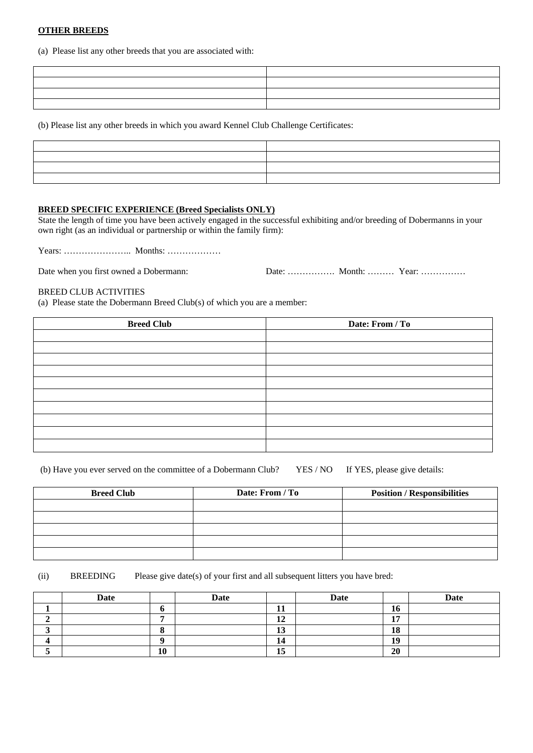#### **OTHER BREEDS**

(a) Please list any other breeds that you are associated with:

| the contract of the contract of the contract of the contract of the contract of                                      |  |
|----------------------------------------------------------------------------------------------------------------------|--|
| <u> 1999 - Jan James James Jan James James James James James James James James James James James James James Jam</u> |  |
|                                                                                                                      |  |
| <u> 1989 - Johann Stoff, amerikansk politiker (d. 1989)</u>                                                          |  |

(b) Please list any other breeds in which you award Kennel Club Challenge Certificates:

| <u> 2000 - 2000 - 2000 - 2000 - 2000 - 2000 - 2000 - 2000 - 2000 - 2000 - 2000 - 2000 - 2000 - 2000 - 2000 - 200</u> |                                                 |
|----------------------------------------------------------------------------------------------------------------------|-------------------------------------------------|
|                                                                                                                      | the contract of the contract of the contract of |
|                                                                                                                      |                                                 |
|                                                                                                                      |                                                 |

#### **BREED SPECIFIC EXPERIENCE (Breed Specialists ONLY)**

State the length of time you have been actively engaged in the successful exhibiting and/or breeding of Dobermanns in your own right (as an individual or partnership or within the family firm):

Years: ………………….. Months: ………………

Date when you first owned a Dobermann: Date: ……………. Month: ……… Year: ……………

### BREED CLUB ACTIVITIES

(a) Please state the Dobermann Breed Club(s) of which you are a member:

| <b>Breed Club</b> | Date: From / To |
|-------------------|-----------------|
|                   |                 |
|                   |                 |
|                   |                 |
|                   |                 |
|                   |                 |
|                   |                 |
|                   |                 |
|                   |                 |
|                   |                 |
|                   |                 |

| (b) Have you ever served on the committee of a Dobermann Club? YES / NO If YES, please give details: |  |  |  |  |  |  |  |
|------------------------------------------------------------------------------------------------------|--|--|--|--|--|--|--|
|------------------------------------------------------------------------------------------------------|--|--|--|--|--|--|--|

| <b>Breed Club</b> | Date: From / To | <b>Position / Responsibilities</b> |
|-------------------|-----------------|------------------------------------|
|                   |                 |                                    |
|                   |                 |                                    |
|                   |                 |                                    |
|                   |                 |                                    |
|                   |                 |                                    |

(ii) BREEDING Please give date(s) of your first and all subsequent litters you have bred:

| Date |    | Date |                      | <b>Date</b> |                             | <b>Date</b> |
|------|----|------|----------------------|-------------|-----------------------------|-------------|
|      |    |      | <b>II</b>            |             | 16                          |             |
|      |    |      | 10<br>┸ <del></del>  |             | 1 <sub>H</sub><br><b>II</b> |             |
|      | ◠  |      | $\sim$<br>⊥ၪ         |             | 18                          |             |
|      | Λ  |      | 14                   |             | 19                          |             |
|      | 10 |      | $\blacksquare$<br>15 |             | 20                          |             |